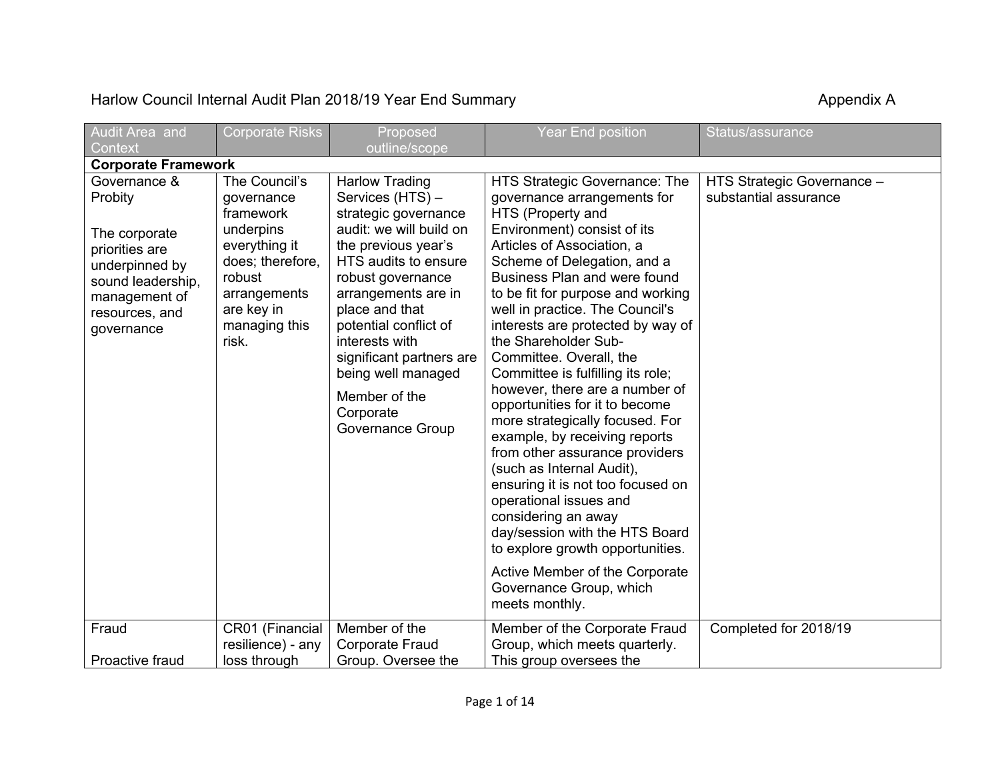## Harlow Council Internal Audit Plan 2018/19 Year End Summary **Accouncil System Appendix A** Appendix A

| Audit Area and                                                                                                                                     | <b>Corporate Risks</b>                                                                                                                                       | Proposed                                                                                                                                                                                                                                                                                                                                                 | <b>Year End position</b>                                                                                                                                                                                                                                                                                                                                                                                                                                                                                                                                                                                                                                                                                                                                                                                                                                             | Status/assurance                                    |
|----------------------------------------------------------------------------------------------------------------------------------------------------|--------------------------------------------------------------------------------------------------------------------------------------------------------------|----------------------------------------------------------------------------------------------------------------------------------------------------------------------------------------------------------------------------------------------------------------------------------------------------------------------------------------------------------|----------------------------------------------------------------------------------------------------------------------------------------------------------------------------------------------------------------------------------------------------------------------------------------------------------------------------------------------------------------------------------------------------------------------------------------------------------------------------------------------------------------------------------------------------------------------------------------------------------------------------------------------------------------------------------------------------------------------------------------------------------------------------------------------------------------------------------------------------------------------|-----------------------------------------------------|
| Context                                                                                                                                            |                                                                                                                                                              | outline/scope                                                                                                                                                                                                                                                                                                                                            |                                                                                                                                                                                                                                                                                                                                                                                                                                                                                                                                                                                                                                                                                                                                                                                                                                                                      |                                                     |
| <b>Corporate Framework</b>                                                                                                                         |                                                                                                                                                              |                                                                                                                                                                                                                                                                                                                                                          |                                                                                                                                                                                                                                                                                                                                                                                                                                                                                                                                                                                                                                                                                                                                                                                                                                                                      |                                                     |
| Governance &<br>Probity<br>The corporate<br>priorities are<br>underpinned by<br>sound leadership,<br>management of<br>resources, and<br>governance | The Council's<br>governance<br>framework<br>underpins<br>everything it<br>does; therefore,<br>robust<br>arrangements<br>are key in<br>managing this<br>risk. | <b>Harlow Trading</b><br>Services (HTS) -<br>strategic governance<br>audit: we will build on<br>the previous year's<br>HTS audits to ensure<br>robust governance<br>arrangements are in<br>place and that<br>potential conflict of<br>interests with<br>significant partners are<br>being well managed<br>Member of the<br>Corporate<br>Governance Group | HTS Strategic Governance: The<br>governance arrangements for<br>HTS (Property and<br>Environment) consist of its<br>Articles of Association, a<br>Scheme of Delegation, and a<br>Business Plan and were found<br>to be fit for purpose and working<br>well in practice. The Council's<br>interests are protected by way of<br>the Shareholder Sub-<br>Committee. Overall, the<br>Committee is fulfilling its role;<br>however, there are a number of<br>opportunities for it to become<br>more strategically focused. For<br>example, by receiving reports<br>from other assurance providers<br>(such as Internal Audit),<br>ensuring it is not too focused on<br>operational issues and<br>considering an away<br>day/session with the HTS Board<br>to explore growth opportunities.<br>Active Member of the Corporate<br>Governance Group, which<br>meets monthly. | HTS Strategic Governance -<br>substantial assurance |
| Fraud<br>Proactive fraud                                                                                                                           | CR01 (Financial<br>resilience) - any<br>loss through                                                                                                         | Member of the<br><b>Corporate Fraud</b><br>Group. Oversee the                                                                                                                                                                                                                                                                                            | Member of the Corporate Fraud<br>Group, which meets quarterly.<br>This group oversees the                                                                                                                                                                                                                                                                                                                                                                                                                                                                                                                                                                                                                                                                                                                                                                            | Completed for 2018/19                               |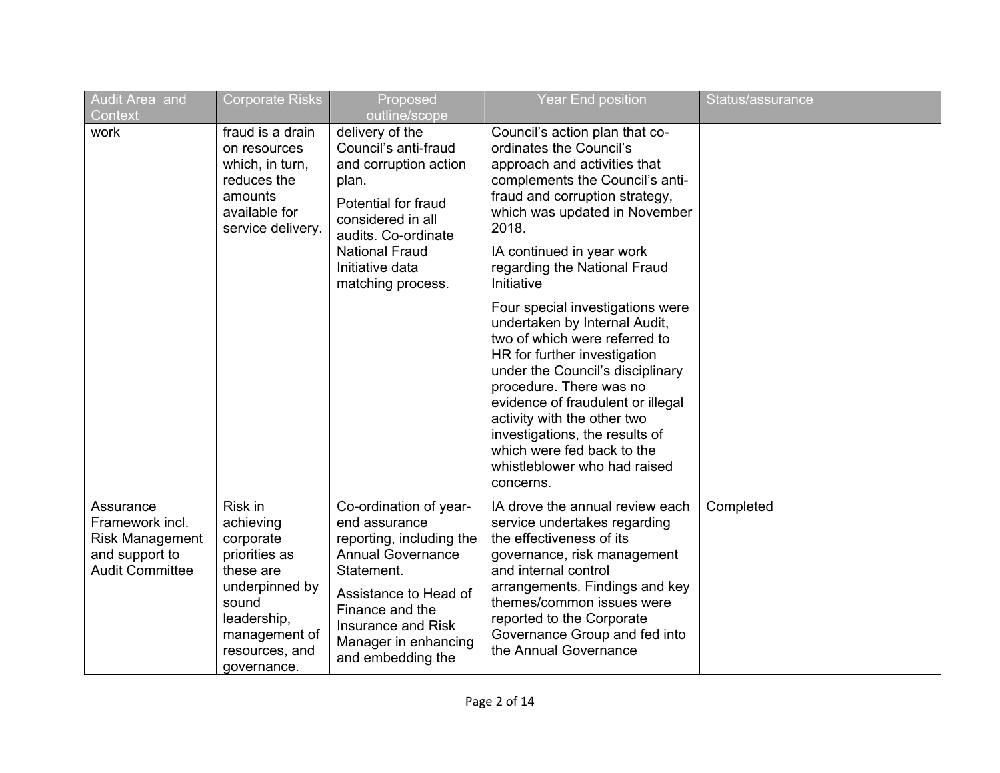| Audit Area and<br>Context                                                                          | <b>Corporate Risks</b>                                                                                                                                      | Proposed<br>outline/scope                                                                                                                                                                                                    | <b>Year End position</b>                                                                                                                                                                                                                                                                                                                                                                                                                                                                                                                                                                                                                                                  | Status/assurance |
|----------------------------------------------------------------------------------------------------|-------------------------------------------------------------------------------------------------------------------------------------------------------------|------------------------------------------------------------------------------------------------------------------------------------------------------------------------------------------------------------------------------|---------------------------------------------------------------------------------------------------------------------------------------------------------------------------------------------------------------------------------------------------------------------------------------------------------------------------------------------------------------------------------------------------------------------------------------------------------------------------------------------------------------------------------------------------------------------------------------------------------------------------------------------------------------------------|------------------|
| work                                                                                               | fraud is a drain<br>on resources<br>which, in turn,<br>reduces the<br>amounts<br>available for<br>service delivery.                                         | delivery of the<br>Council's anti-fraud<br>and corruption action<br>plan.<br>Potential for fraud<br>considered in all<br>audits. Co-ordinate<br><b>National Fraud</b><br>Initiative data<br>matching process.                | Council's action plan that co-<br>ordinates the Council's<br>approach and activities that<br>complements the Council's anti-<br>fraud and corruption strategy,<br>which was updated in November<br>2018.<br>IA continued in year work<br>regarding the National Fraud<br>Initiative<br>Four special investigations were<br>undertaken by Internal Audit,<br>two of which were referred to<br>HR for further investigation<br>under the Council's disciplinary<br>procedure. There was no<br>evidence of fraudulent or illegal<br>activity with the other two<br>investigations, the results of<br>which were fed back to the<br>whistleblower who had raised<br>concerns. |                  |
| Assurance<br>Framework incl.<br><b>Risk Management</b><br>and support to<br><b>Audit Committee</b> | Risk in<br>achieving<br>corporate<br>priorities as<br>these are<br>underpinned by<br>sound<br>leadership,<br>management of<br>resources, and<br>governance. | Co-ordination of year-<br>end assurance<br>reporting, including the<br><b>Annual Governance</b><br>Statement.<br>Assistance to Head of<br>Finance and the<br>Insurance and Risk<br>Manager in enhancing<br>and embedding the | IA drove the annual review each<br>service undertakes regarding<br>the effectiveness of its<br>governance, risk management<br>and internal control<br>arrangements. Findings and key<br>themes/common issues were<br>reported to the Corporate<br>Governance Group and fed into<br>the Annual Governance                                                                                                                                                                                                                                                                                                                                                                  | Completed        |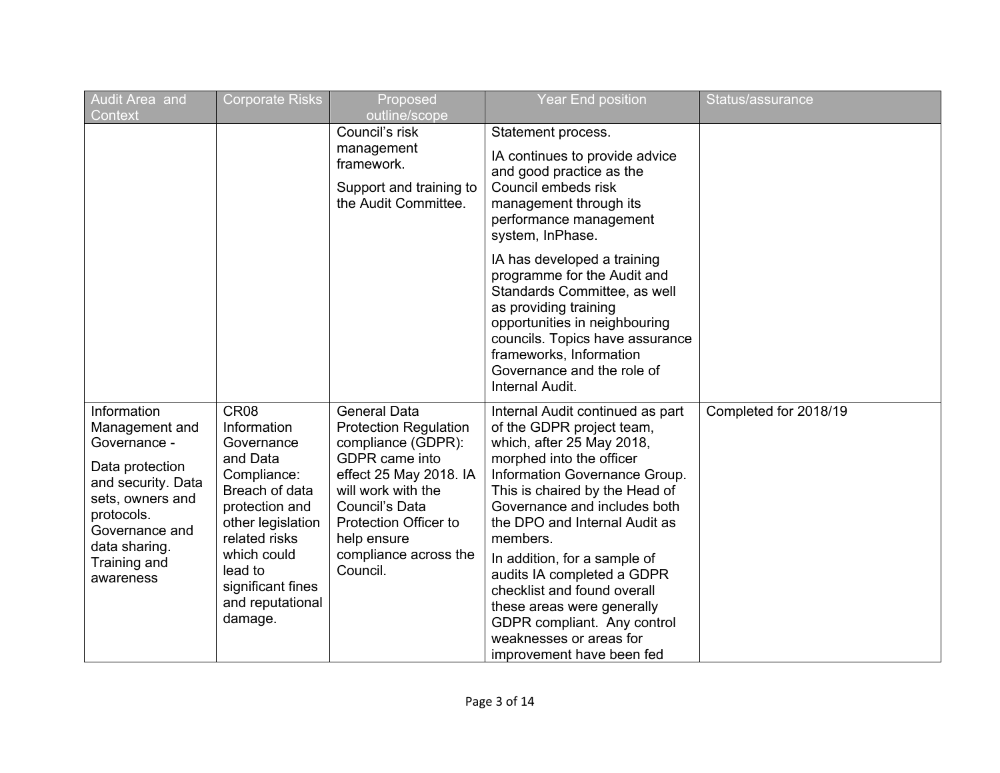| Audit Area and<br>Context                                                                                                                                                                | <b>Corporate Risks</b>                                                                                                                                                                                                           | Proposed<br>outline/scope                                                                                                                                                                                                                                | <b>Year End position</b>                                                                                                                                                                                                                                                                                                                                                                                                                                                                 | Status/assurance      |
|------------------------------------------------------------------------------------------------------------------------------------------------------------------------------------------|----------------------------------------------------------------------------------------------------------------------------------------------------------------------------------------------------------------------------------|----------------------------------------------------------------------------------------------------------------------------------------------------------------------------------------------------------------------------------------------------------|------------------------------------------------------------------------------------------------------------------------------------------------------------------------------------------------------------------------------------------------------------------------------------------------------------------------------------------------------------------------------------------------------------------------------------------------------------------------------------------|-----------------------|
|                                                                                                                                                                                          |                                                                                                                                                                                                                                  | Council's risk<br>management<br>framework.<br>Support and training to<br>the Audit Committee.                                                                                                                                                            | Statement process.<br>IA continues to provide advice<br>and good practice as the<br>Council embeds risk<br>management through its<br>performance management<br>system, InPhase.                                                                                                                                                                                                                                                                                                          |                       |
|                                                                                                                                                                                          |                                                                                                                                                                                                                                  |                                                                                                                                                                                                                                                          | IA has developed a training<br>programme for the Audit and<br>Standards Committee, as well<br>as providing training<br>opportunities in neighbouring<br>councils. Topics have assurance<br>frameworks, Information<br>Governance and the role of<br>Internal Audit.                                                                                                                                                                                                                      |                       |
| Information<br>Management and<br>Governance -<br>Data protection<br>and security. Data<br>sets, owners and<br>protocols.<br>Governance and<br>data sharing.<br>Training and<br>awareness | CR <sub>08</sub><br>Information<br>Governance<br>and Data<br>Compliance:<br>Breach of data<br>protection and<br>other legislation<br>related risks<br>which could<br>lead to<br>significant fines<br>and reputational<br>damage. | <b>General Data</b><br><b>Protection Regulation</b><br>compliance (GDPR):<br><b>GDPR</b> came into<br>effect 25 May 2018. IA<br>will work with the<br>Council's Data<br><b>Protection Officer to</b><br>help ensure<br>compliance across the<br>Council. | Internal Audit continued as part<br>of the GDPR project team,<br>which, after 25 May 2018,<br>morphed into the officer<br>Information Governance Group.<br>This is chaired by the Head of<br>Governance and includes both<br>the DPO and Internal Audit as<br>members.<br>In addition, for a sample of<br>audits IA completed a GDPR<br>checklist and found overall<br>these areas were generally<br>GDPR compliant. Any control<br>weaknesses or areas for<br>improvement have been fed | Completed for 2018/19 |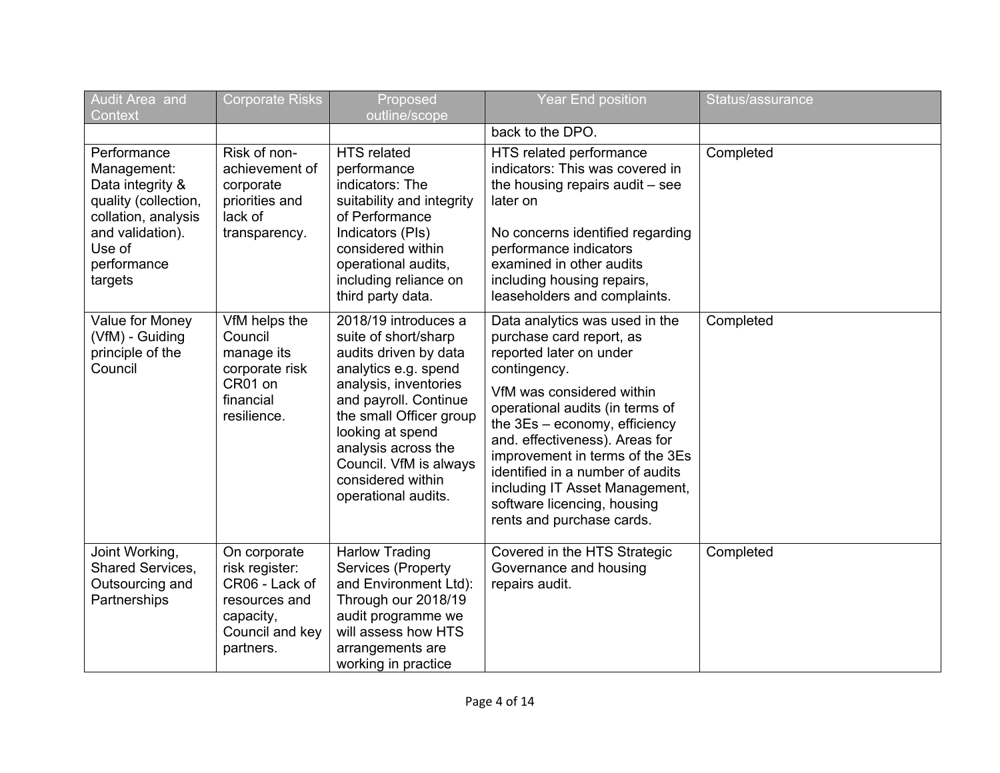| Audit Area and<br>Context                                                                                                                             | <b>Corporate Risks</b>                                                                                         | Proposed<br>outline/scope                                                                                                                                                                                                                                                                   | <b>Year End position</b>                                                                                                                                                                                                                                                                                                                                                                                      | Status/assurance |
|-------------------------------------------------------------------------------------------------------------------------------------------------------|----------------------------------------------------------------------------------------------------------------|---------------------------------------------------------------------------------------------------------------------------------------------------------------------------------------------------------------------------------------------------------------------------------------------|---------------------------------------------------------------------------------------------------------------------------------------------------------------------------------------------------------------------------------------------------------------------------------------------------------------------------------------------------------------------------------------------------------------|------------------|
|                                                                                                                                                       |                                                                                                                |                                                                                                                                                                                                                                                                                             | back to the DPO.                                                                                                                                                                                                                                                                                                                                                                                              |                  |
| Performance<br>Management:<br>Data integrity &<br>quality (collection,<br>collation, analysis<br>and validation).<br>Use of<br>performance<br>targets | Risk of non-<br>achievement of<br>corporate<br>priorities and<br>lack of<br>transparency.                      | <b>HTS</b> related<br>performance<br>indicators: The<br>suitability and integrity<br>of Performance<br>Indicators (PIs)<br>considered within<br>operational audits,<br>including reliance on<br>third party data.                                                                           | HTS related performance<br>indicators: This was covered in<br>the housing repairs audit - see<br>later on<br>No concerns identified regarding<br>performance indicators<br>examined in other audits<br>including housing repairs,<br>leaseholders and complaints.                                                                                                                                             | Completed        |
| Value for Money<br>(VfM) - Guiding<br>principle of the<br>Council                                                                                     | VfM helps the<br>Council<br>manage its<br>corporate risk<br>CR01 on<br>financial<br>resilience.                | 2018/19 introduces a<br>suite of short/sharp<br>audits driven by data<br>analytics e.g. spend<br>analysis, inventories<br>and payroll. Continue<br>the small Officer group<br>looking at spend<br>analysis across the<br>Council. VfM is always<br>considered within<br>operational audits. | Data analytics was used in the<br>purchase card report, as<br>reported later on under<br>contingency.<br>VfM was considered within<br>operational audits (in terms of<br>the 3Es - economy, efficiency<br>and. effectiveness). Areas for<br>improvement in terms of the 3Es<br>identified in a number of audits<br>including IT Asset Management,<br>software licencing, housing<br>rents and purchase cards. | Completed        |
| Joint Working,<br>Shared Services,<br>Outsourcing and<br>Partnerships                                                                                 | On corporate<br>risk register:<br>CR06 - Lack of<br>resources and<br>capacity,<br>Council and key<br>partners. | <b>Harlow Trading</b><br>Services (Property<br>and Environment Ltd):<br>Through our 2018/19<br>audit programme we<br>will assess how HTS<br>arrangements are<br>working in practice                                                                                                         | Covered in the HTS Strategic<br>Governance and housing<br>repairs audit.                                                                                                                                                                                                                                                                                                                                      | Completed        |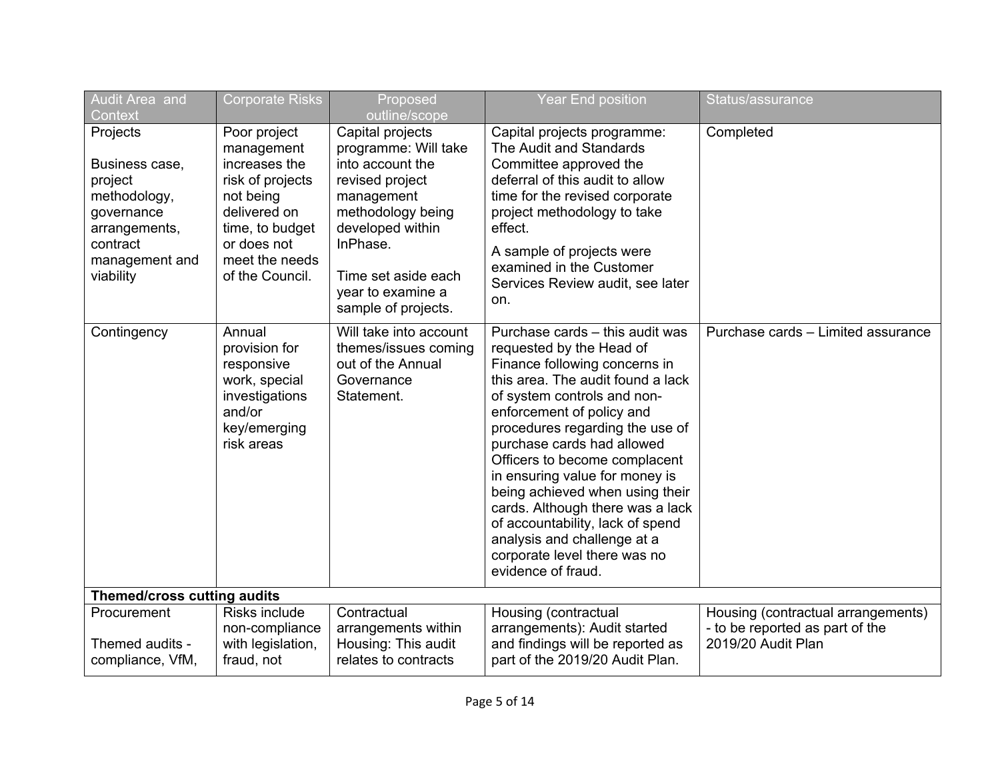| Audit Area and<br>Context                                                                                                       | <b>Corporate Risks</b>                                                                                                                                              | Proposed<br>outline/scope                                                                                                                                                                                             | <b>Year End position</b>                                                                                                                                                                                                                                                                                                                                                                                                                                                                                                          | Status/assurance                                                                            |
|---------------------------------------------------------------------------------------------------------------------------------|---------------------------------------------------------------------------------------------------------------------------------------------------------------------|-----------------------------------------------------------------------------------------------------------------------------------------------------------------------------------------------------------------------|-----------------------------------------------------------------------------------------------------------------------------------------------------------------------------------------------------------------------------------------------------------------------------------------------------------------------------------------------------------------------------------------------------------------------------------------------------------------------------------------------------------------------------------|---------------------------------------------------------------------------------------------|
| Projects<br>Business case,<br>project<br>methodology,<br>governance<br>arrangements,<br>contract<br>management and<br>viability | Poor project<br>management<br>increases the<br>risk of projects<br>not being<br>delivered on<br>time, to budget<br>or does not<br>meet the needs<br>of the Council. | Capital projects<br>programme: Will take<br>into account the<br>revised project<br>management<br>methodology being<br>developed within<br>InPhase.<br>Time set aside each<br>year to examine a<br>sample of projects. | Capital projects programme:<br>The Audit and Standards<br>Committee approved the<br>deferral of this audit to allow<br>time for the revised corporate<br>project methodology to take<br>effect.<br>A sample of projects were<br>examined in the Customer<br>Services Review audit, see later<br>on.                                                                                                                                                                                                                               | Completed                                                                                   |
| Contingency                                                                                                                     | Annual<br>provision for<br>responsive<br>work, special<br>investigations<br>and/or<br>key/emerging<br>risk areas                                                    | Will take into account<br>themes/issues coming<br>out of the Annual<br>Governance<br>Statement.                                                                                                                       | Purchase cards - this audit was<br>requested by the Head of<br>Finance following concerns in<br>this area. The audit found a lack<br>of system controls and non-<br>enforcement of policy and<br>procedures regarding the use of<br>purchase cards had allowed<br>Officers to become complacent<br>in ensuring value for money is<br>being achieved when using their<br>cards. Although there was a lack<br>of accountability, lack of spend<br>analysis and challenge at a<br>corporate level there was no<br>evidence of fraud. | Purchase cards - Limited assurance                                                          |
| Themed/cross cutting audits                                                                                                     |                                                                                                                                                                     |                                                                                                                                                                                                                       |                                                                                                                                                                                                                                                                                                                                                                                                                                                                                                                                   |                                                                                             |
| Procurement<br>Themed audits -<br>compliance, VfM,                                                                              | Risks include<br>non-compliance<br>with legislation,<br>fraud, not                                                                                                  | Contractual<br>arrangements within<br>Housing: This audit<br>relates to contracts                                                                                                                                     | Housing (contractual<br>arrangements): Audit started<br>and findings will be reported as<br>part of the 2019/20 Audit Plan.                                                                                                                                                                                                                                                                                                                                                                                                       | Housing (contractual arrangements)<br>- to be reported as part of the<br>2019/20 Audit Plan |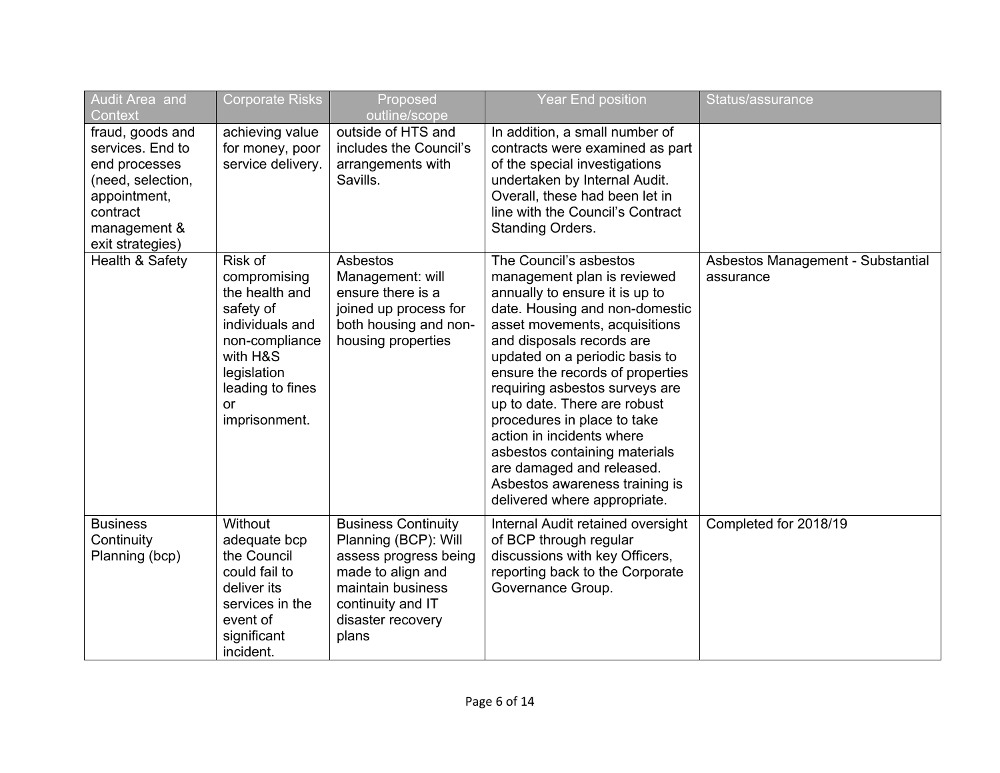| <b>Audit Area and</b><br>Context                                                                                                           | <b>Corporate Risks</b>                                                                                                                                                   | Proposed<br>outline/scope                                                                                                                                                | <b>Year End position</b>                                                                                                                                                                                                                                                                                                                                                                                                                                                                                                    | Status/assurance                               |
|--------------------------------------------------------------------------------------------------------------------------------------------|--------------------------------------------------------------------------------------------------------------------------------------------------------------------------|--------------------------------------------------------------------------------------------------------------------------------------------------------------------------|-----------------------------------------------------------------------------------------------------------------------------------------------------------------------------------------------------------------------------------------------------------------------------------------------------------------------------------------------------------------------------------------------------------------------------------------------------------------------------------------------------------------------------|------------------------------------------------|
| fraud, goods and<br>services. End to<br>end processes<br>(need, selection,<br>appointment,<br>contract<br>management &<br>exit strategies) | achieving value<br>for money, poor<br>service delivery.                                                                                                                  | outside of HTS and<br>includes the Council's<br>arrangements with<br>Savills.                                                                                            | In addition, a small number of<br>contracts were examined as part<br>of the special investigations<br>undertaken by Internal Audit.<br>Overall, these had been let in<br>line with the Council's Contract<br>Standing Orders.                                                                                                                                                                                                                                                                                               |                                                |
| Health & Safety                                                                                                                            | Risk of<br>compromising<br>the health and<br>safety of<br>individuals and<br>non-compliance<br>with H&S<br>legislation<br>leading to fines<br><b>or</b><br>imprisonment. | Asbestos<br>Management: will<br>ensure there is a<br>joined up process for<br>both housing and non-<br>housing properties                                                | The Council's asbestos<br>management plan is reviewed<br>annually to ensure it is up to<br>date. Housing and non-domestic<br>asset movements, acquisitions<br>and disposals records are<br>updated on a periodic basis to<br>ensure the records of properties<br>requiring asbestos surveys are<br>up to date. There are robust<br>procedures in place to take<br>action in incidents where<br>asbestos containing materials<br>are damaged and released.<br>Asbestos awareness training is<br>delivered where appropriate. | Asbestos Management - Substantial<br>assurance |
| <b>Business</b><br>Continuity<br>Planning (bcp)                                                                                            | Without<br>adequate bcp<br>the Council<br>could fail to<br>deliver its<br>services in the<br>event of<br>significant<br>incident.                                        | <b>Business Continuity</b><br>Planning (BCP): Will<br>assess progress being<br>made to align and<br>maintain business<br>continuity and IT<br>disaster recovery<br>plans | Internal Audit retained oversight<br>of BCP through regular<br>discussions with key Officers,<br>reporting back to the Corporate<br>Governance Group.                                                                                                                                                                                                                                                                                                                                                                       | Completed for 2018/19                          |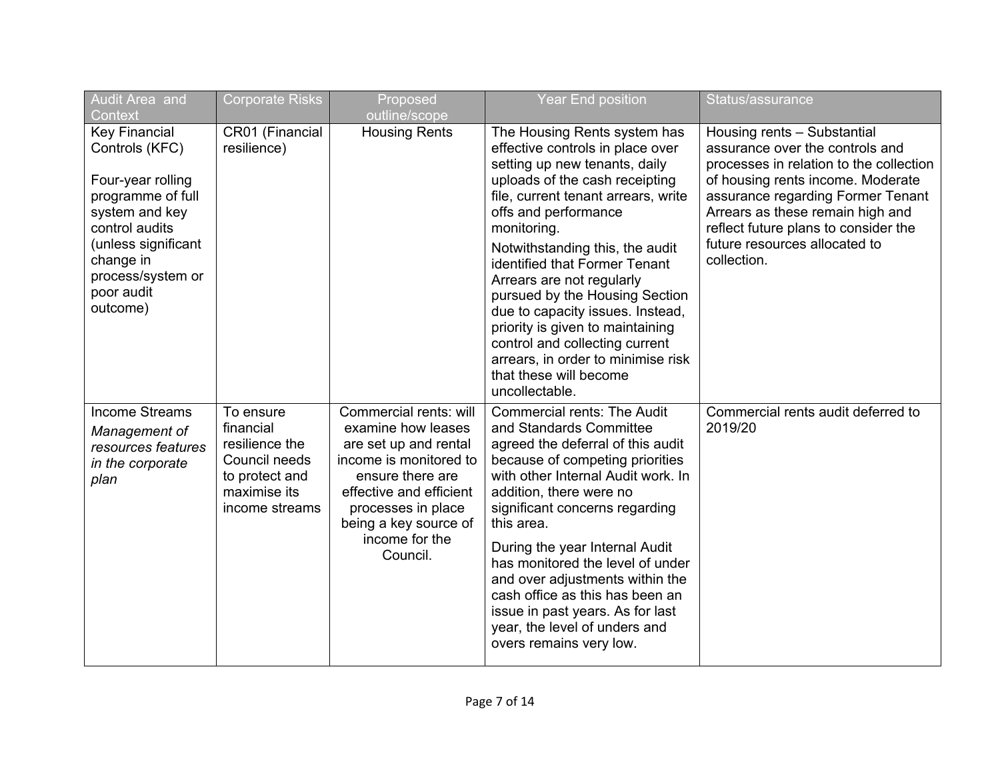| Audit Area and<br>Context                                                                                                                                                                               | <b>Corporate Risks</b>                                                                                        | Proposed<br>outline/scope                                                                                                                                                                                                   | <b>Year End position</b>                                                                                                                                                                                                                                                                                                                                                                                                                                                                                                                         | Status/assurance                                                                                                                                                                                                                                                                                                |
|---------------------------------------------------------------------------------------------------------------------------------------------------------------------------------------------------------|---------------------------------------------------------------------------------------------------------------|-----------------------------------------------------------------------------------------------------------------------------------------------------------------------------------------------------------------------------|--------------------------------------------------------------------------------------------------------------------------------------------------------------------------------------------------------------------------------------------------------------------------------------------------------------------------------------------------------------------------------------------------------------------------------------------------------------------------------------------------------------------------------------------------|-----------------------------------------------------------------------------------------------------------------------------------------------------------------------------------------------------------------------------------------------------------------------------------------------------------------|
| <b>Key Financial</b><br>Controls (KFC)<br>Four-year rolling<br>programme of full<br>system and key<br>control audits<br>(unless significant<br>change in<br>process/system or<br>poor audit<br>outcome) | CR01 (Financial<br>resilience)                                                                                | <b>Housing Rents</b>                                                                                                                                                                                                        | The Housing Rents system has<br>effective controls in place over<br>setting up new tenants, daily<br>uploads of the cash receipting<br>file, current tenant arrears, write<br>offs and performance<br>monitoring.<br>Notwithstanding this, the audit<br>identified that Former Tenant<br>Arrears are not regularly<br>pursued by the Housing Section<br>due to capacity issues. Instead,<br>priority is given to maintaining<br>control and collecting current<br>arrears, in order to minimise risk<br>that these will become<br>uncollectable. | Housing rents - Substantial<br>assurance over the controls and<br>processes in relation to the collection<br>of housing rents income. Moderate<br>assurance regarding Former Tenant<br>Arrears as these remain high and<br>reflect future plans to consider the<br>future resources allocated to<br>collection. |
| <b>Income Streams</b><br>Management of<br>resources features<br>in the corporate<br>plan                                                                                                                | To ensure<br>financial<br>resilience the<br>Council needs<br>to protect and<br>maximise its<br>income streams | Commercial rents: will<br>examine how leases<br>are set up and rental<br>income is monitored to<br>ensure there are<br>effective and efficient<br>processes in place<br>being a key source of<br>income for the<br>Council. | <b>Commercial rents: The Audit</b><br>and Standards Committee<br>agreed the deferral of this audit<br>because of competing priorities<br>with other Internal Audit work. In<br>addition, there were no<br>significant concerns regarding<br>this area.<br>During the year Internal Audit<br>has monitored the level of under<br>and over adjustments within the<br>cash office as this has been an<br>issue in past years. As for last<br>year, the level of unders and<br>overs remains very low.                                               | Commercial rents audit deferred to<br>2019/20                                                                                                                                                                                                                                                                   |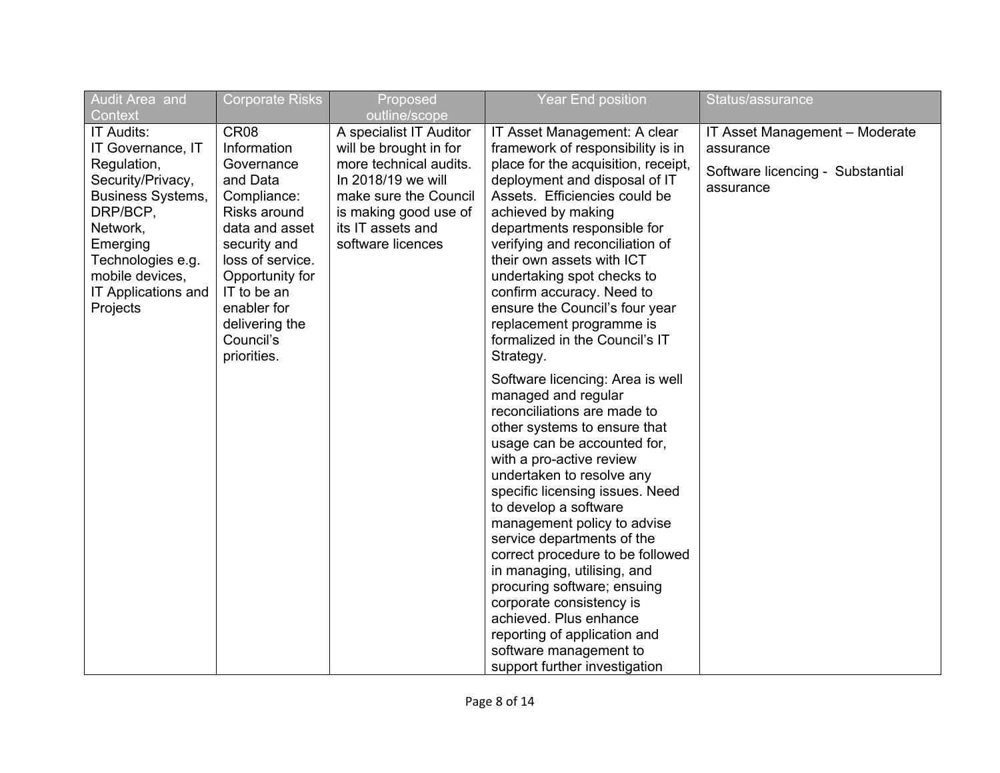| Audit Area and                                                                                                                                                                                                            | <b>Corporate Risks</b>                                                                                                                                                                                                                        | Proposed                                                                                                                                                                                                       | <b>Year End position</b>                                                                                                                                                                                                                                                                                                                                                                                                                                                                                                                                                                   | Status/assurance                                                                             |
|---------------------------------------------------------------------------------------------------------------------------------------------------------------------------------------------------------------------------|-----------------------------------------------------------------------------------------------------------------------------------------------------------------------------------------------------------------------------------------------|----------------------------------------------------------------------------------------------------------------------------------------------------------------------------------------------------------------|--------------------------------------------------------------------------------------------------------------------------------------------------------------------------------------------------------------------------------------------------------------------------------------------------------------------------------------------------------------------------------------------------------------------------------------------------------------------------------------------------------------------------------------------------------------------------------------------|----------------------------------------------------------------------------------------------|
| Context<br>IT Audits:<br>IT Governance, IT<br>Regulation,<br>Security/Privacy,<br><b>Business Systems,</b><br>DRP/BCP,<br>Network,<br>Emerging<br>Technologies e.g.<br>mobile devices,<br>IT Applications and<br>Projects | CR <sub>08</sub><br>Information<br>Governance<br>and Data<br>Compliance:<br>Risks around<br>data and asset<br>security and<br>loss of service.<br>Opportunity for<br>IT to be an<br>enabler for<br>delivering the<br>Council's<br>priorities. | outline/scope<br>A specialist IT Auditor<br>will be brought in for<br>more technical audits.<br>In 2018/19 we will<br>make sure the Council<br>is making good use of<br>its IT assets and<br>software licences | IT Asset Management: A clear<br>framework of responsibility is in<br>place for the acquisition, receipt,<br>deployment and disposal of IT<br>Assets. Efficiencies could be<br>achieved by making<br>departments responsible for<br>verifying and reconciliation of<br>their own assets with ICT<br>undertaking spot checks to<br>confirm accuracy. Need to<br>ensure the Council's four year<br>replacement programme is<br>formalized in the Council's IT<br>Strategy.                                                                                                                    | IT Asset Management - Moderate<br>assurance<br>Software licencing - Substantial<br>assurance |
|                                                                                                                                                                                                                           |                                                                                                                                                                                                                                               |                                                                                                                                                                                                                | Software licencing: Area is well<br>managed and regular<br>reconciliations are made to<br>other systems to ensure that<br>usage can be accounted for,<br>with a pro-active review<br>undertaken to resolve any<br>specific licensing issues. Need<br>to develop a software<br>management policy to advise<br>service departments of the<br>correct procedure to be followed<br>in managing, utilising, and<br>procuring software; ensuing<br>corporate consistency is<br>achieved. Plus enhance<br>reporting of application and<br>software management to<br>support further investigation |                                                                                              |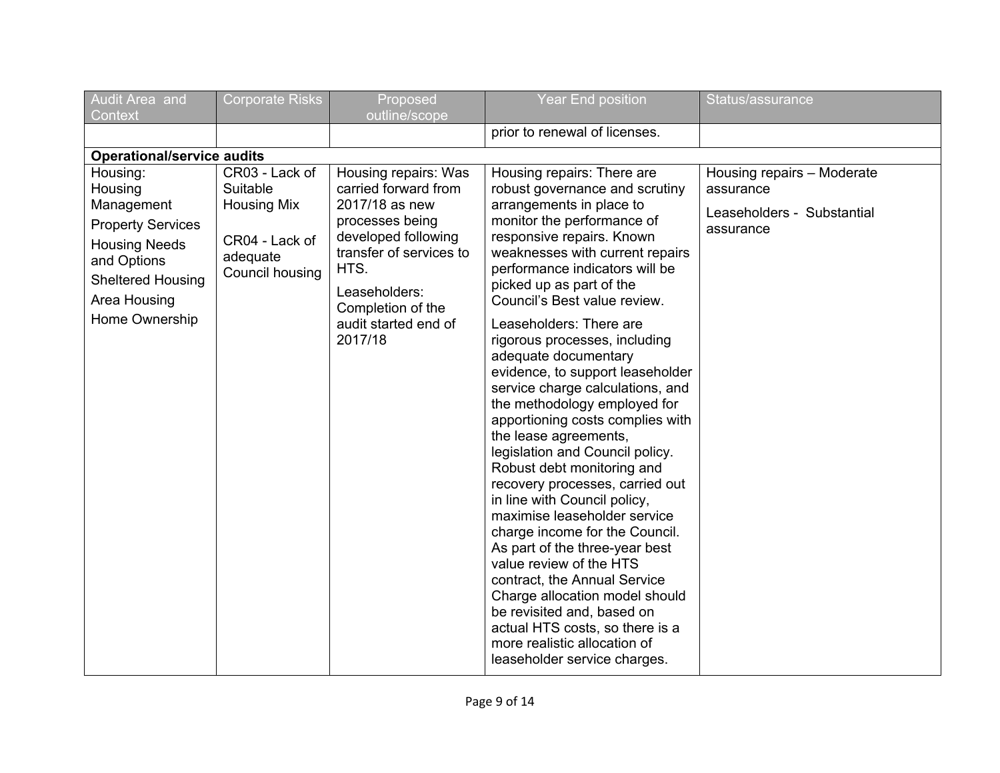| Audit Area and<br>Context                                                                                                                                          | <b>Corporate Risks</b>                                                                            | Proposed<br>outline/scope                                                                                                                                                                                            | <b>Year End position</b>                                                                                                                                                                                                                                                                                                                                                                                                                                                                                                                                                                                                                                                                                                                                                                                                                                                                                                                                                                                            | Status/assurance                                                                   |
|--------------------------------------------------------------------------------------------------------------------------------------------------------------------|---------------------------------------------------------------------------------------------------|----------------------------------------------------------------------------------------------------------------------------------------------------------------------------------------------------------------------|---------------------------------------------------------------------------------------------------------------------------------------------------------------------------------------------------------------------------------------------------------------------------------------------------------------------------------------------------------------------------------------------------------------------------------------------------------------------------------------------------------------------------------------------------------------------------------------------------------------------------------------------------------------------------------------------------------------------------------------------------------------------------------------------------------------------------------------------------------------------------------------------------------------------------------------------------------------------------------------------------------------------|------------------------------------------------------------------------------------|
|                                                                                                                                                                    |                                                                                                   |                                                                                                                                                                                                                      | prior to renewal of licenses.                                                                                                                                                                                                                                                                                                                                                                                                                                                                                                                                                                                                                                                                                                                                                                                                                                                                                                                                                                                       |                                                                                    |
| <b>Operational/service audits</b>                                                                                                                                  |                                                                                                   |                                                                                                                                                                                                                      |                                                                                                                                                                                                                                                                                                                                                                                                                                                                                                                                                                                                                                                                                                                                                                                                                                                                                                                                                                                                                     |                                                                                    |
| Housing:<br>Housing<br>Management<br><b>Property Services</b><br><b>Housing Needs</b><br>and Options<br><b>Sheltered Housing</b><br>Area Housing<br>Home Ownership | CR03 - Lack of<br>Suitable<br><b>Housing Mix</b><br>CR04 - Lack of<br>adequate<br>Council housing | Housing repairs: Was<br>carried forward from<br>2017/18 as new<br>processes being<br>developed following<br>transfer of services to<br>HTS.<br>Leaseholders:<br>Completion of the<br>audit started end of<br>2017/18 | Housing repairs: There are<br>robust governance and scrutiny<br>arrangements in place to<br>monitor the performance of<br>responsive repairs. Known<br>weaknesses with current repairs<br>performance indicators will be<br>picked up as part of the<br>Council's Best value review.<br>Leaseholders: There are<br>rigorous processes, including<br>adequate documentary<br>evidence, to support leaseholder<br>service charge calculations, and<br>the methodology employed for<br>apportioning costs complies with<br>the lease agreements,<br>legislation and Council policy.<br>Robust debt monitoring and<br>recovery processes, carried out<br>in line with Council policy,<br>maximise leaseholder service<br>charge income for the Council.<br>As part of the three-year best<br>value review of the HTS<br>contract, the Annual Service<br>Charge allocation model should<br>be revisited and, based on<br>actual HTS costs, so there is a<br>more realistic allocation of<br>leaseholder service charges. | Housing repairs - Moderate<br>assurance<br>Leaseholders - Substantial<br>assurance |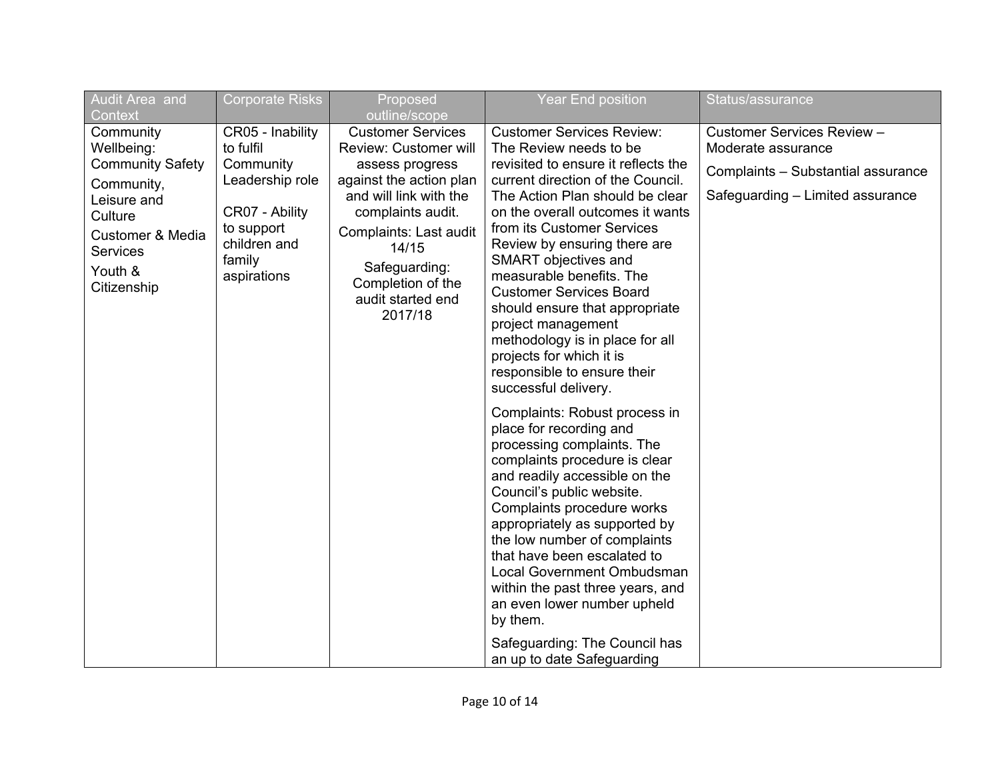| Audit Area and<br>Context                                                                                                                                              | <b>Corporate Risks</b>                                                                                                                 | Proposed<br>outline/scope                                                                                                                                                                                                                                      | <b>Year End position</b>                                                                                                                                                                                                                                                                                                                                                                                                                                                                                                                        | Status/assurance                                                                                                           |
|------------------------------------------------------------------------------------------------------------------------------------------------------------------------|----------------------------------------------------------------------------------------------------------------------------------------|----------------------------------------------------------------------------------------------------------------------------------------------------------------------------------------------------------------------------------------------------------------|-------------------------------------------------------------------------------------------------------------------------------------------------------------------------------------------------------------------------------------------------------------------------------------------------------------------------------------------------------------------------------------------------------------------------------------------------------------------------------------------------------------------------------------------------|----------------------------------------------------------------------------------------------------------------------------|
| Community<br>Wellbeing:<br><b>Community Safety</b><br>Community,<br>Leisure and<br>Culture<br><b>Customer &amp; Media</b><br><b>Services</b><br>Youth &<br>Citizenship | CR05 - Inability<br>to fulfil<br>Community<br>Leadership role<br>CR07 - Ability<br>to support<br>children and<br>family<br>aspirations | <b>Customer Services</b><br><b>Review: Customer will</b><br>assess progress<br>against the action plan<br>and will link with the<br>complaints audit.<br>Complaints: Last audit<br>14/15<br>Safeguarding:<br>Completion of the<br>audit started end<br>2017/18 | <b>Customer Services Review:</b><br>The Review needs to be<br>revisited to ensure it reflects the<br>current direction of the Council.<br>The Action Plan should be clear<br>on the overall outcomes it wants<br>from its Customer Services<br>Review by ensuring there are<br>SMART objectives and<br>measurable benefits. The<br><b>Customer Services Board</b><br>should ensure that appropriate<br>project management<br>methodology is in place for all<br>projects for which it is<br>responsible to ensure their<br>successful delivery. | Customer Services Review -<br>Moderate assurance<br>Complaints - Substantial assurance<br>Safeguarding - Limited assurance |
|                                                                                                                                                                        |                                                                                                                                        |                                                                                                                                                                                                                                                                | Complaints: Robust process in<br>place for recording and<br>processing complaints. The<br>complaints procedure is clear<br>and readily accessible on the<br>Council's public website.<br>Complaints procedure works<br>appropriately as supported by<br>the low number of complaints<br>that have been escalated to<br>Local Government Ombudsman<br>within the past three years, and<br>an even lower number upheld<br>by them.<br>Safeguarding: The Council has<br>an up to date Safeguarding                                                 |                                                                                                                            |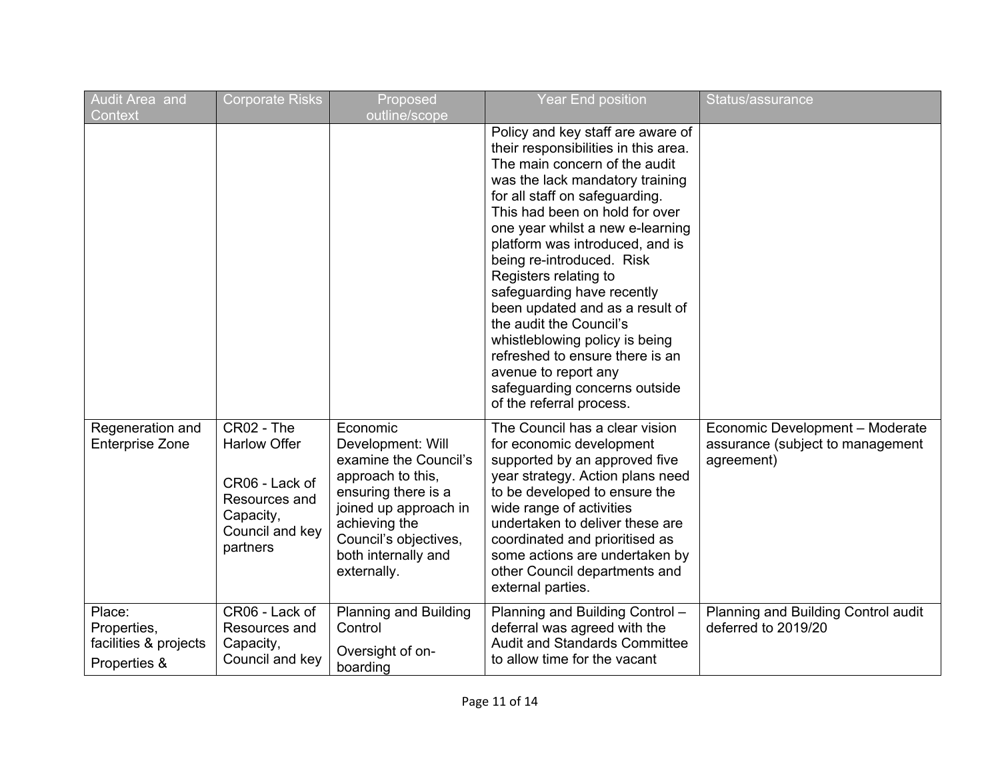| Audit Area and<br>Context                                      | <b>Corporate Risks</b>                                                                                           | Proposed<br>outline/scope                                                                                                                                                                                   | <b>Year End position</b>                                                                                                                                                                                                                                                                                                                                                                                                                                                                                                                                                                             | Status/assurance                                                                  |
|----------------------------------------------------------------|------------------------------------------------------------------------------------------------------------------|-------------------------------------------------------------------------------------------------------------------------------------------------------------------------------------------------------------|------------------------------------------------------------------------------------------------------------------------------------------------------------------------------------------------------------------------------------------------------------------------------------------------------------------------------------------------------------------------------------------------------------------------------------------------------------------------------------------------------------------------------------------------------------------------------------------------------|-----------------------------------------------------------------------------------|
|                                                                |                                                                                                                  |                                                                                                                                                                                                             | Policy and key staff are aware of<br>their responsibilities in this area.<br>The main concern of the audit<br>was the lack mandatory training<br>for all staff on safeguarding.<br>This had been on hold for over<br>one year whilst a new e-learning<br>platform was introduced, and is<br>being re-introduced. Risk<br>Registers relating to<br>safeguarding have recently<br>been updated and as a result of<br>the audit the Council's<br>whistleblowing policy is being<br>refreshed to ensure there is an<br>avenue to report any<br>safeguarding concerns outside<br>of the referral process. |                                                                                   |
| Regeneration and<br><b>Enterprise Zone</b>                     | CR02 - The<br><b>Harlow Offer</b><br>CR06 - Lack of<br>Resources and<br>Capacity,<br>Council and key<br>partners | Economic<br>Development: Will<br>examine the Council's<br>approach to this,<br>ensuring there is a<br>joined up approach in<br>achieving the<br>Council's objectives,<br>both internally and<br>externally. | The Council has a clear vision<br>for economic development<br>supported by an approved five<br>year strategy. Action plans need<br>to be developed to ensure the<br>wide range of activities<br>undertaken to deliver these are<br>coordinated and prioritised as<br>some actions are undertaken by<br>other Council departments and<br>external parties.                                                                                                                                                                                                                                            | Economic Development - Moderate<br>assurance (subject to management<br>agreement) |
| Place:<br>Properties,<br>facilities & projects<br>Properties & | CR06 - Lack of<br>Resources and<br>Capacity,<br>Council and key                                                  | <b>Planning and Building</b><br>Control<br>Oversight of on-<br>boarding                                                                                                                                     | Planning and Building Control -<br>deferral was agreed with the<br><b>Audit and Standards Committee</b><br>to allow time for the vacant                                                                                                                                                                                                                                                                                                                                                                                                                                                              | Planning and Building Control audit<br>deferred to 2019/20                        |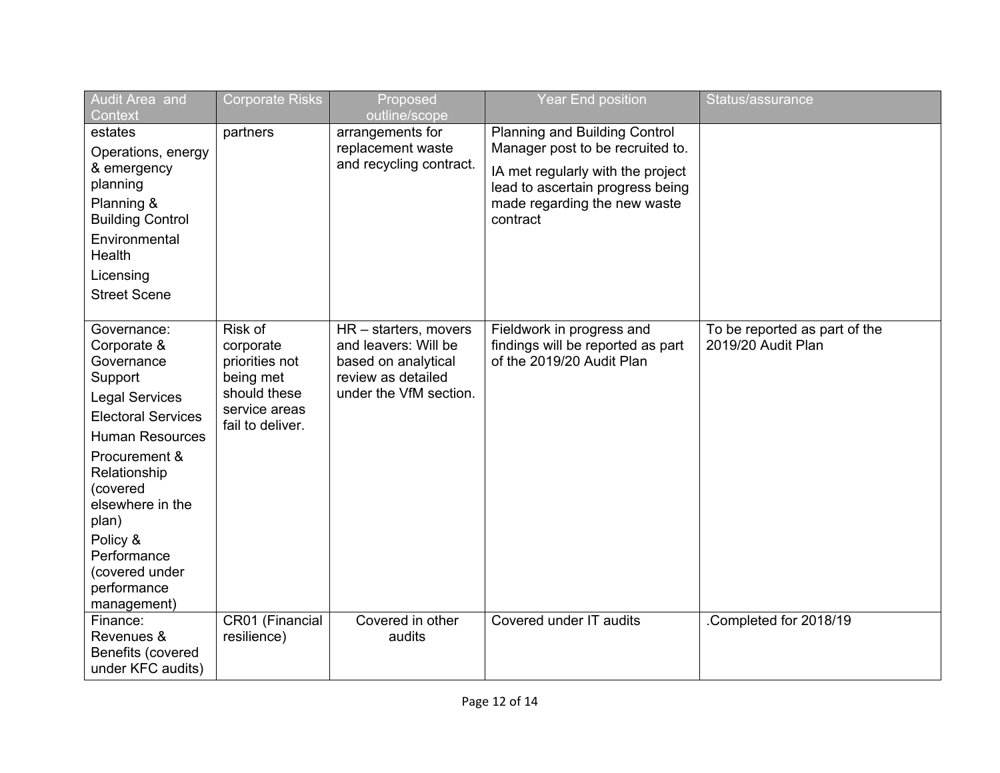| Audit Area and<br>Context                                                                                                                                                                                                                                                         | <b>Corporate Risks</b>                                                                                   | Proposed<br>outline/scope                                                                                            | Year End position                                                                                                                                                                      | Status/assurance                                    |
|-----------------------------------------------------------------------------------------------------------------------------------------------------------------------------------------------------------------------------------------------------------------------------------|----------------------------------------------------------------------------------------------------------|----------------------------------------------------------------------------------------------------------------------|----------------------------------------------------------------------------------------------------------------------------------------------------------------------------------------|-----------------------------------------------------|
| estates<br>Operations, energy<br>& emergency<br>planning<br>Planning &<br><b>Building Control</b><br>Environmental<br><b>Health</b><br>Licensing<br><b>Street Scene</b>                                                                                                           | partners                                                                                                 | arrangements for<br>replacement waste<br>and recycling contract.                                                     | Planning and Building Control<br>Manager post to be recruited to.<br>IA met regularly with the project<br>lead to ascertain progress being<br>made regarding the new waste<br>contract |                                                     |
| Governance:<br>Corporate &<br>Governance<br>Support<br><b>Legal Services</b><br><b>Electoral Services</b><br>Human Resources<br>Procurement &<br>Relationship<br>(covered<br>elsewhere in the<br>plan)<br>Policy &<br>Performance<br>(covered under<br>performance<br>management) | Risk of<br>corporate<br>priorities not<br>being met<br>should these<br>service areas<br>fail to deliver. | HR - starters, movers<br>and leavers: Will be<br>based on analytical<br>review as detailed<br>under the VfM section. | Fieldwork in progress and<br>findings will be reported as part<br>of the 2019/20 Audit Plan                                                                                            | To be reported as part of the<br>2019/20 Audit Plan |
| Finance:<br>Revenues &<br>Benefits (covered<br>under KFC audits)                                                                                                                                                                                                                  | CR01 (Financial<br>resilience)                                                                           | Covered in other<br>audits                                                                                           | Covered under IT audits                                                                                                                                                                | Completed for 2018/19                               |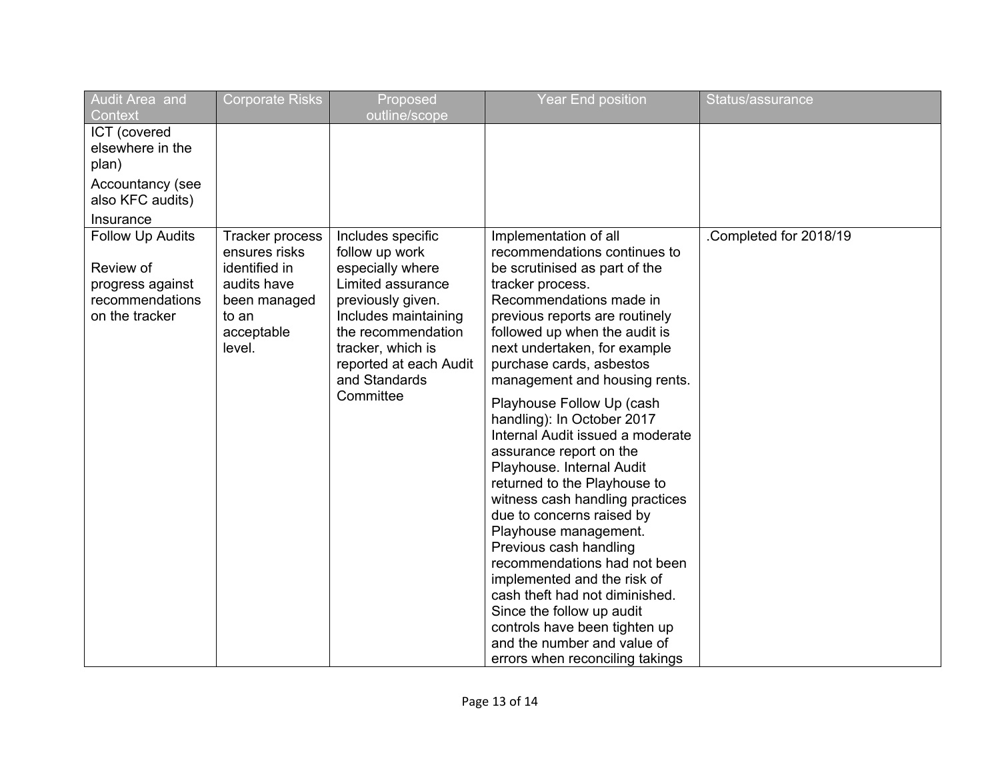| Audit Area and                                                                                            | <b>Corporate Risks</b>                                                                                            | Proposed                                                                                                                                                                                                                     | <b>Year End position</b>                                                                                                                                                                                                                                                                                                                                                                                                                                                                                                                                                                                                                                                                                                                                                                                                                         | Status/assurance       |
|-----------------------------------------------------------------------------------------------------------|-------------------------------------------------------------------------------------------------------------------|------------------------------------------------------------------------------------------------------------------------------------------------------------------------------------------------------------------------------|--------------------------------------------------------------------------------------------------------------------------------------------------------------------------------------------------------------------------------------------------------------------------------------------------------------------------------------------------------------------------------------------------------------------------------------------------------------------------------------------------------------------------------------------------------------------------------------------------------------------------------------------------------------------------------------------------------------------------------------------------------------------------------------------------------------------------------------------------|------------------------|
| Context<br>ICT (covered<br>elsewhere in the<br>plan)<br>Accountancy (see<br>also KFC audits)<br>Insurance |                                                                                                                   | outline/scope                                                                                                                                                                                                                |                                                                                                                                                                                                                                                                                                                                                                                                                                                                                                                                                                                                                                                                                                                                                                                                                                                  |                        |
| Follow Up Audits<br>Review of<br>progress against<br>recommendations<br>on the tracker                    | Tracker process<br>ensures risks<br>identified in<br>audits have<br>been managed<br>to an<br>acceptable<br>level. | Includes specific<br>follow up work<br>especially where<br>Limited assurance<br>previously given.<br>Includes maintaining<br>the recommendation<br>tracker, which is<br>reported at each Audit<br>and Standards<br>Committee | Implementation of all<br>recommendations continues to<br>be scrutinised as part of the<br>tracker process.<br>Recommendations made in<br>previous reports are routinely<br>followed up when the audit is<br>next undertaken, for example<br>purchase cards, asbestos<br>management and housing rents.<br>Playhouse Follow Up (cash<br>handling): In October 2017<br>Internal Audit issued a moderate<br>assurance report on the<br>Playhouse. Internal Audit<br>returned to the Playhouse to<br>witness cash handling practices<br>due to concerns raised by<br>Playhouse management.<br>Previous cash handling<br>recommendations had not been<br>implemented and the risk of<br>cash theft had not diminished.<br>Since the follow up audit<br>controls have been tighten up<br>and the number and value of<br>errors when reconciling takings | .Completed for 2018/19 |